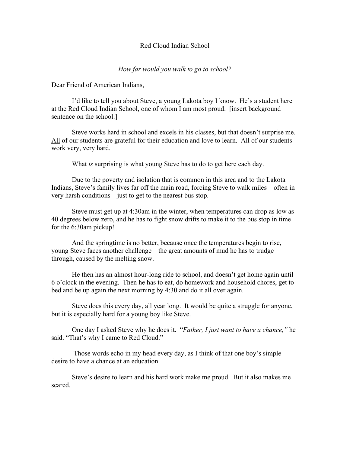## Red Cloud Indian School

## *How far would you walk to go to school?*

Dear Friend of American Indians,

I'd like to tell you about Steve, a young Lakota boy I know. He's a student here at the Red Cloud Indian School, one of whom I am most proud. [insert background sentence on the school.]

Steve works hard in school and excels in his classes, but that doesn't surprise me. All of our students are grateful for their education and love to learn. All of our students work very, very hard.

What *is* surprising is what young Steve has to do to get here each day.

Due to the poverty and isolation that is common in this area and to the Lakota Indians, Steve's family lives far off the main road, forcing Steve to walk miles – often in very harsh conditions – just to get to the nearest bus stop.

Steve must get up at 4:30am in the winter, when temperatures can drop as low as 40 degrees below zero, and he has to fight snow drifts to make it to the bus stop in time for the 6:30am pickup!

And the springtime is no better, because once the temperatures begin to rise, young Steve faces another challenge – the great amounts of mud he has to trudge through, caused by the melting snow.

He then has an almost hour-long ride to school, and doesn't get home again until 6 o'clock in the evening. Then he has to eat, do homework and household chores, get to bed and be up again the next morning by 4:30 and do it all over again.

Steve does this every day, all year long. It would be quite a struggle for anyone, but it is especially hard for a young boy like Steve.

One day I asked Steve why he does it. "*Father, I just want to have a chance,"* he said. "That's why I came to Red Cloud."

Those words echo in my head every day, as I think of that one boy's simple desire to have a chance at an education.

Steve's desire to learn and his hard work make me proud. But it also makes me scared.